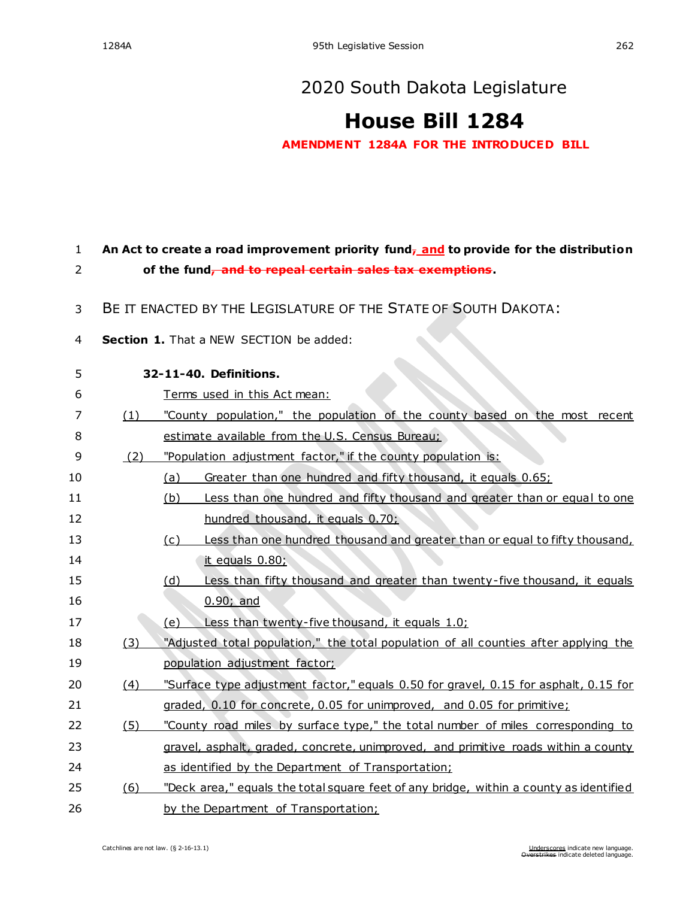## [2020 South Dakota Legislature](https://sdlegislature.gov/Legislative_Session/Bills/Default.aspx?Session=2020)

## **[House Bill 1284](https://sdlegislature.gov/Legislative_Session/Bills/Bill.aspx?Bill=1284&Session=2020)**

**AMENDMENT 1284A FOR THE INTRODUCED BILL**

## 1 **An Act to create a road improvement priority fund, and to provide for the distribution**  2 **of the fund, and to repeal certain sales tax exemptions.**

- 3 BE IT ENACTED BY THE LEGISLATURE OF THE STATE OF SOUTH DAKOTA:
- 4 **Section 1.** That a NEW SECTION be added:

| 4  |     | Section 1. That a NEW SECTION be added:                                                 |
|----|-----|-----------------------------------------------------------------------------------------|
| 5  |     | 32-11-40. Definitions.                                                                  |
| 6  |     | Terms used in this Act mean:                                                            |
| 7  | (1) | "County population," the population of the county based on the most recent              |
| 8  |     | estimate available from the U.S. Census Bureau;                                         |
| 9  | (2) | "Population adjustment factor," if the county population is:                            |
| 10 |     | Greater than one hundred and fifty thousand, it equals 0.65;<br>(a)                     |
| 11 |     | Less than one hundred and fifty thousand and greater than or equal to one<br><u>(b)</u> |
| 12 |     | hundred thousand, it equals 0.70;                                                       |
| 13 |     | Less than one hundred thousand and greater than or equal to fifty thousand,<br>(c)      |
| 14 |     | it equals 0.80;                                                                         |
| 15 |     | Less than fifty thousand and greater than twenty-five thousand, it equals<br>(d)        |
| 16 |     | $0.90;$ and                                                                             |
| 17 |     | Less than twenty-five thousand, it equals 1.0;<br>(e)                                   |
| 18 | (3) | "Adjusted total population," the total population of all counties after applying the    |
| 19 |     | population adjustment factor;                                                           |
| 20 | (4) | "Surface type adjustment factor," equals 0.50 for gravel, 0.15 for asphalt, 0.15 for    |
| 21 |     | graded, 0.10 for concrete, 0.05 for unimproved, and 0.05 for primitive;                 |
| 22 | (5) | "County road miles by surface type," the total number of miles corresponding to         |
| 23 |     | gravel, asphalt, graded, concrete, unimproved, and primitive roads within a county      |
| 24 |     | as identified by the Department of Transportation;                                      |
| 25 | (6) | "Deck area," equals the total square feet of any bridge, within a county as identified  |
| 26 |     | by the Department of Transportation;                                                    |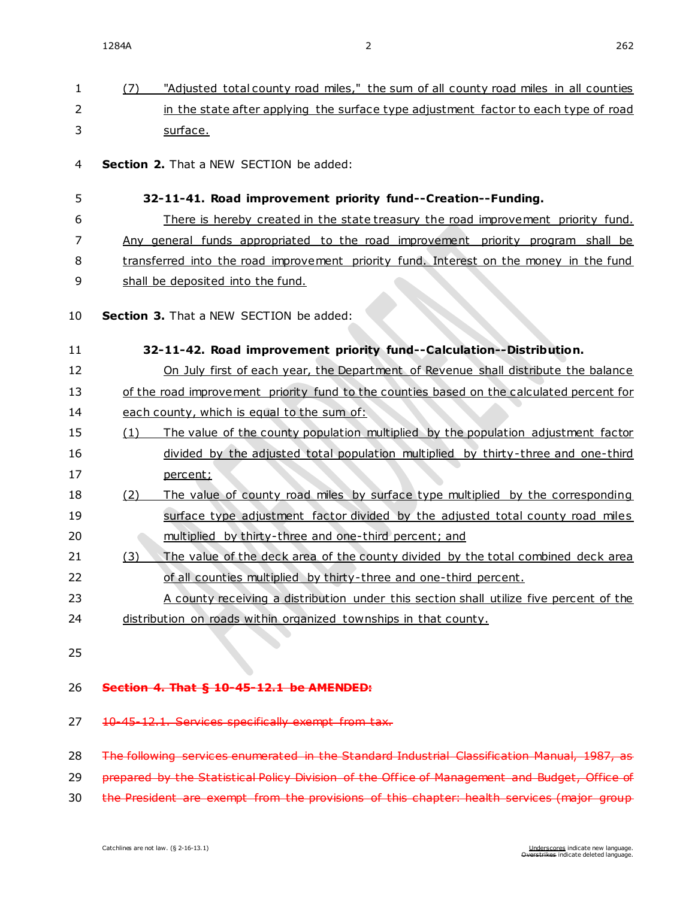| $\mathbf{1}$ | (7)                                                                                       | "Adjusted total county road miles," the sum of all county road miles in all counties   |
|--------------|-------------------------------------------------------------------------------------------|----------------------------------------------------------------------------------------|
| 2            |                                                                                           | in the state after applying the surface type adjustment factor to each type of road    |
| 3            |                                                                                           | surface.                                                                               |
| 4            |                                                                                           | Section 2. That a NEW SECTION be added:                                                |
| 5            |                                                                                           | 32-11-41. Road improvement priority fund--Creation--Funding.                           |
| 6            |                                                                                           | There is hereby created in the state treasury the road improvement priority fund.      |
| 7            |                                                                                           | Any general funds appropriated to the road improvement priority program shall be       |
| 8            |                                                                                           | transferred into the road improvement priority fund. Interest on the money in the fund |
| 9            |                                                                                           | shall be deposited into the fund.                                                      |
| 10           |                                                                                           | Section 3. That a NEW SECTION be added:                                                |
| 11           |                                                                                           | 32-11-42. Road improvement priority fund--Calculation--Distribution.                   |
| 12           |                                                                                           | On July first of each year, the Department of Revenue shall distribute the balance     |
| 13           | of the road improvement priority fund to the counties based on the calculated percent for |                                                                                        |
| 14           |                                                                                           | each county, which is equal to the sum of:                                             |
| 15           | (1)                                                                                       | The value of the county population multiplied by the population adjustment factor      |
| 16           |                                                                                           | divided by the adjusted total population multiplied by thirty-three and one-third      |
| 17           |                                                                                           | percent;                                                                               |
| 18           | (2)                                                                                       | The value of county road miles by surface type multiplied by the corresponding         |
| 19           |                                                                                           | surface type adjustment factor divided by the adjusted total county road miles         |
| 20           |                                                                                           | multiplied by thirty-three and one-third percent; and                                  |
| 21           | (3)                                                                                       | The value of the deck area of the county divided by the total combined deck area       |
| 22           |                                                                                           | of all counties multiplied by thirty-three and one-third percent.                      |
| 23           |                                                                                           | A county receiving a distribution under this section shall utilize five percent of the |
| 24           |                                                                                           | distribution on roads within organized townships in that county.                       |
| 25           |                                                                                           |                                                                                        |

## 26 **Section 4. That § [10-45-12.1](https://sdlegislature.gov/Statutes/Codified_Laws/DisplayStatute.aspx?Type=Statute&Statute=10-45-12.1) be AMENDED:**

27 [10-45-12.1.](https://sdlegislature.gov/Statutes/Codified_Laws/DisplayStatute.aspx?Type=Statute&Statute=10-45-12.1) Services specifically exempt from tax.

28 The following services enumerated in the Standard Industrial Classification Manual, 1987, as

29 prepared by the Statistical Policy Division of the Office of Management and Budget, Office of

30 the President are exempt from the provisions of this chapter: health services (major group